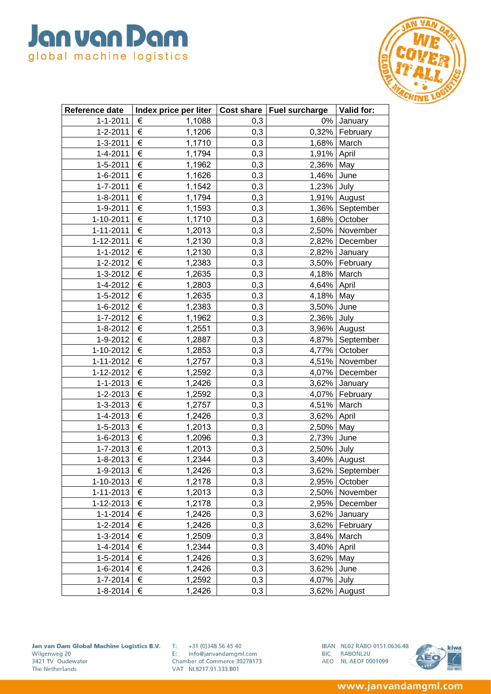

| Reference date | Index price per liter   Cost share   Fuel surcharge |     |             | Valid for:        |
|----------------|-----------------------------------------------------|-----|-------------|-------------------|
| $1 - 1 - 2011$ | €<br>1,1088                                         | 0,3 | 0%          | January           |
| $1 - 2 - 2011$ | €<br>1,1206                                         | 0,3 |             | 0,32%   February  |
| $1 - 3 - 2011$ | $\in$<br>1,1710                                     | 0,3 | 1,68% March |                   |
| $1 - 4 - 2011$ | $\in$<br>1,1794                                     | 0,3 | 1,91%       | April             |
| 1-5-2011       | $\overline{\epsilon}$<br>1,1962                     | 0,3 | 2,36%       | May               |
| $1 - 6 - 2011$ | €<br>1,1626                                         | 0,3 | 1,46%       | June              |
| $1 - 7 - 2011$ | €<br>1,1542                                         | 0,3 | 1,23%       | July              |
| $1 - 8 - 2011$ | $\in$<br>1,1794                                     | 0,3 |             | 1,91% August      |
| 1-9-2011       | €<br>1,1593                                         | 0,3 |             | 1,36% September   |
| 1-10-2011      | $\in$<br>1,1710                                     | 0,3 |             | 1,68% October     |
| 1-11-2011      | €<br>1,2013                                         | 0,3 |             | 2,50% November    |
| 1-12-2011      | $\in$<br>1,2130                                     | 0,3 |             | 2,82% December    |
| $1 - 1 - 2012$ | $\in$<br>1,2130                                     | 0,3 | 2,82%       | January           |
| 1-2-2012       | €<br>1,2383                                         | 0,3 | 3,50%       | February          |
| 1-3-2012       | $\in$<br>1,2635                                     | 0,3 | 4,18%       | March             |
| 1-4-2012       | $\in$<br>1,2803                                     | 0,3 | 4,64%       | April             |
| 1-5-2012       | $\in$<br>1,2635                                     | 0,3 | 4,18%       | May               |
| 1-6-2012       | $\in$<br>1,2383                                     | 0,3 | 3,50%       | June              |
| 1-7-2012       | €<br>1,1962                                         | 0,3 | 2,36%       | July              |
| $1 - 8 - 2012$ | €<br>1,2551                                         | 0,3 |             | 3,96% August      |
| 1-9-2012       | $\in$<br>1,2887                                     | 0,3 |             | 4,87%   September |
| 1-10-2012      | $\in$<br>1,2853                                     | 0,3 |             | 4,77% October     |
| 1-11-2012      | $\in$<br>1,2757                                     | 0,3 |             | 4,51% November    |
| 1-12-2012      | €<br>1,2592                                         | 0,3 | 4,07%       | December          |
| $1 - 1 - 2013$ | €<br>1,2426                                         | 0,3 | 3,62%       | January           |
| 1-2-2013       | $\in$<br>1,2592                                     | 0,3 |             | 4,07% February    |
| 1-3-2013       | $\in$<br>1,2757                                     | 0,3 | 4,51%       | March             |
| 1-4-2013       | €<br>1,2426                                         | 0,3 | 3,62%       | April             |
| 1-5-2013       | $\in$<br>1,2013                                     | 0,3 | 2,50%       | May               |
| 1-6-2013       | €<br>1,2096                                         | 0,3 | 2,73%       | June              |
| 1-7-2013       | $\in$<br>1,2013                                     | 0,3 | 2,50% July  |                   |
| $1 - 8 - 2013$ | $\in$<br>1,2344                                     | 0,3 |             | 3,40% August      |
| 1-9-2013       | €<br>1,2426                                         | 0,3 |             | 3,62%   September |
| 1-10-2013      | €<br>1,2178                                         | 0,3 |             | 2,95% October     |
| 1-11-2013      | €<br>1,2013                                         | 0,3 |             | 2,50% November    |
| 1-12-2013      | $\in$<br>1,2178                                     | 0,3 | 2,95%       | December          |
| $1 - 1 - 2014$ | €<br>1,2426                                         | 0,3 | 3,62%       | January           |
| 1-2-2014       | €<br>1,2426                                         | 0,3 | 3,62%       | February          |
| $1 - 3 - 2014$ | €<br>1,2509                                         | 0,3 | 3,84%       | March             |
| 1-4-2014       | €<br>1,2344                                         | 0,3 | 3,40%       | April             |
| 1-5-2014       | $\in$<br>1,2426                                     | 0,3 | 3,62%       | May               |
| 1-6-2014       | €<br>1,2426                                         | 0,3 | 3,62%       | June              |
| 1-7-2014       | €<br>1,2592                                         | 0,3 | 4,07%       | July              |
| 1-8-2014       | €<br>1,2426                                         | 0,3 | 3,62%       | August            |

Jan van Dam Global Machine Logistics B.V. Wilgenweg 20 3421 TV Oudewater The Netherlands

 $T: +31(0)348564540$ E: info@janvandamgml.com Chamber of Commerce 30278173 VAT NL8217.91.333.B01

IBAN NL02 RABO 0151.0636.48 BIC RABONL2U AEO NL AEOF 0001099

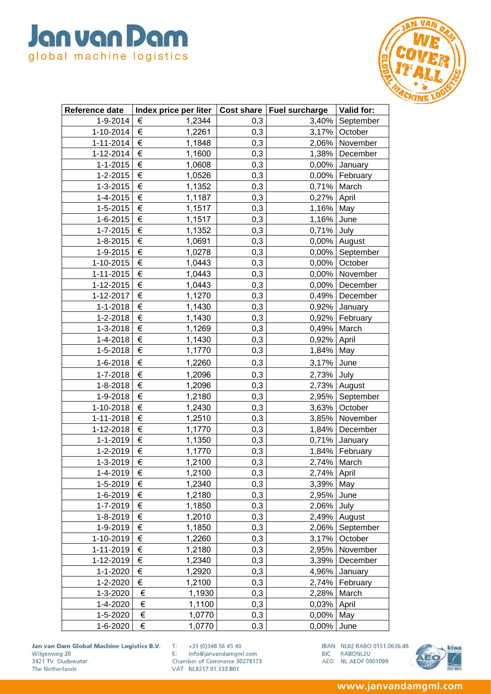

| Reference date  | Index price per liter   Cost share   Fuel surcharge |     |             | Valid for:        |
|-----------------|-----------------------------------------------------|-----|-------------|-------------------|
| 1-9-2014        | €<br>1,2344                                         | 0,3 | 3,40%       | September         |
| 1-10-2014       | $\in$<br>1,2261                                     | 0,3 | 3,17%       | October           |
| $1 - 11 - 2014$ | $\in$<br>1,1848                                     | 0,3 |             | 2,06% November    |
| 1-12-2014       | €<br>1,1600                                         | 0,3 | 1,38%       | December          |
| $1 - 1 - 2015$  | €<br>1,0608                                         | 0,3 | 0,00%       | January           |
| 1-2-2015        | €<br>1,0526                                         | 0,3 |             | 0,00%   February  |
| 1-3-2015        | €<br>1,1352                                         | 0,3 | 0,71%       | March             |
| $1 - 4 - 2015$  | $\in$<br>1,1187                                     | 0,3 | 0,27% April |                   |
| 1-5-2015        | €<br>1,1517                                         | 0,3 | 1,16%       | May               |
| 1-6-2015        | $\overline{\epsilon}$<br>1,1517                     | 0,3 | 1,16%       | June              |
| $1 - 7 - 2015$  | €<br>1,1352                                         | 0,3 | 0,71%       | July              |
| $1 - 8 - 2015$  | €<br>1,0691                                         | 0,3 |             | 0,00% August      |
| 1-9-2015        | €<br>1,0278                                         | 0,3 |             | 0,00% September   |
| 1-10-2015       | €<br>1,0443                                         | 0,3 | 0,00%       | October           |
| 1-11-2015       | $\overline{\epsilon}$<br>1,0443                     | 0,3 | 0,00%       | November          |
| 1-12-2015       | $\overline{\epsilon}$<br>1,0443                     | 0,3 | 0,00%       | December          |
| 1-12-2017       | $\in$<br>1,1270                                     | 0,3 |             | 0,49% December    |
| $1 - 1 - 2018$  | €<br>1,1430                                         | 0,3 |             | $0,92\%$ January  |
| 1-2-2018        | €<br>1,1430                                         | 0,3 |             | 0,92%   February  |
| 1-3-2018        | $\in$<br>1,1269                                     | 0,3 | 0,49%       | March             |
| 1-4-2018        | €<br>1,1430                                         | 0,3 | 0,92%       | April             |
| 1-5-2018        | $\in$<br>1,1770                                     | 0,3 | 1,84%       | May               |
| 1-6-2018        | €<br>1,2260                                         | 0,3 | 3,17%       | June              |
|                 |                                                     |     |             |                   |
| 1-7-2018        | €<br>1,2096                                         | 0,3 | 2,73%       | July              |
| 1-8-2018        | €<br>1,2096<br>€                                    | 0,3 |             | 2,73% August      |
| 1-9-2018        | 1,2180                                              | 0,3 | 2,95%       | September         |
| 1-10-2018       | $\in$<br>1,2430                                     | 0,3 | 3,63%       | October           |
| 1-11-2018       | €<br>1,2510                                         | 0,3 | 3,85%       | November          |
| 1-12-2018       | €<br>1,1770                                         | 0,3 |             | 1,84% December    |
| $1 - 1 - 2019$  | €<br>1,1350                                         | 0,3 | 0,71%       | January           |
| 1-2-2019        | €<br>1,1770                                         | 0,3 |             | 1,84% February    |
| 1-3-2019        | $\in$<br>1,2100                                     | 0,3 | 2,74%       | March             |
| 1-4-2019        | €<br>1.2100                                         | 0,3 | 2,74% April |                   |
| 1-5-2019        | €<br>1,2340                                         | 0,3 | 3,39% May   |                   |
| 1-6-2019        | €<br>1,2180                                         | 0,3 | 2,95%       | June              |
| 1-7-2019        | €<br>1,1850                                         | 0,3 | 2,06%       | July              |
| $1 - 8 - 2019$  | €<br>1,2010                                         | 0,3 |             | 2,49% August      |
| 1-9-2019        | €<br>1,1850                                         | 0,3 |             | 2,06%   September |
| 1-10-2019       | €<br>1,2260                                         | 0,3 |             | 3,17% October     |
| 1-11-2019       | €<br>1,2180                                         | 0,3 | 2,95%       | November          |
| 1-12-2019       | €<br>1,2340                                         | 0,3 | 3,39%       | December          |
| $1 - 1 - 2020$  | €<br>1,2920                                         | 0,3 | 4,96%       | January           |
| 1-2-2020        | €<br>1,2100                                         | 0,3 |             | 2,74% February    |
| 1-3-2020        | $\in$<br>1,1930                                     | 0,3 |             | 2,28% March       |
| 1-4-2020        | $\in$<br>1,1100                                     | 0,3 | 0,03%       | April             |
| 1-5-2020        | €<br>1,0770                                         | 0,3 | 0,00%       | May               |
| 1-6-2020        | €<br>1,0770                                         | 0,3 | $0,00\%$    | June              |

Jan van Dam Global Machine Logistics B.V. Wilgenweg 20 3421 TV Oudewater The Netherlands

 $T: +31(0)348564540$ E: info@janvandamgml.com

Chamber of Commerce 30278173 VAT NL8217.91.333.B01

IBAN NL02 RABO 0151.0636.48 BIC RABONL2U AEO NL AEOF 0001099



www.janvandamgml.com